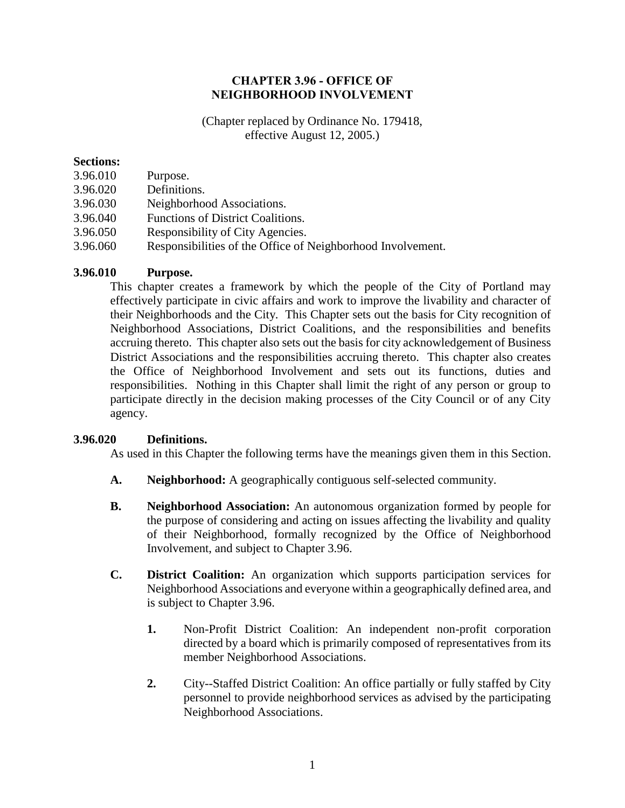### CHAPTER 3.96 - OFFICE OF NEIGHBORHOOD INVOLVEMENT

(Chapter replaced by Ordinance No. 179418, effective August 12, 2005.)

#### **Sections:**

- 3.96.010 Purpose.
- 3.96.020 Definitions.
- 3.96.030 Neighborhood Associations.
- 3.96.040 Functions of District Coalitions.
- 3.96.050 Responsibility of City Agencies.
- 3.96.060 Responsibilities of the Office of Neighborhood Involvement.

# **3.96.010 Purpose.**

This chapter creates a framework by which the people of the City of Portland may effectively participate in civic affairs and work to improve the livability and character of their Neighborhoods and the City. This Chapter sets out the basis for City recognition of Neighborhood Associations, District Coalitions, and the responsibilities and benefits accruing thereto. This chapter also sets out the basis for city acknowledgement of Business District Associations and the responsibilities accruing thereto. This chapter also creates the Office of Neighborhood Involvement and sets out its functions, duties and responsibilities. Nothing in this Chapter shall limit the right of any person or group to participate directly in the decision making processes of the City Council or of any City agency.

# **3.96.020 Definitions.**

As used in this Chapter the following terms have the meanings given them in this Section.

- **A. Neighborhood:** A geographically contiguous self-selected community.
- **B. Neighborhood Association:** An autonomous organization formed by people for the purpose of considering and acting on issues affecting the livability and quality of their Neighborhood, formally recognized by the Office of Neighborhood Involvement, and subject to Chapter 3.96.
- **C. District Coalition:** An organization which supports participation services for Neighborhood Associations and everyone within a geographically defined area, and is subject to Chapter 3.96.
	- **1.** Non-Profit District Coalition: An independent non-profit corporation directed by a board which is primarily composed of representatives from its member Neighborhood Associations.
	- **2.** City--Staffed District Coalition: An office partially or fully staffed by City personnel to provide neighborhood services as advised by the participating Neighborhood Associations.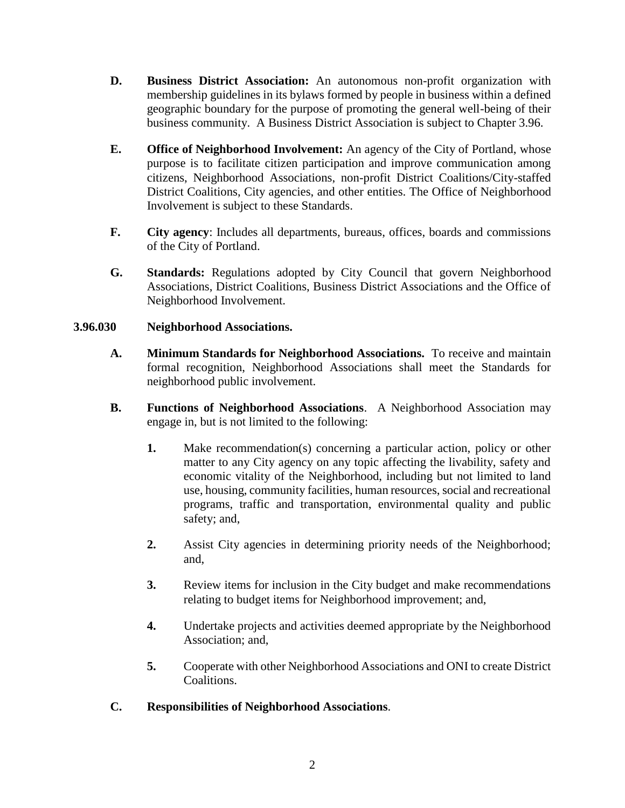- **D. Business District Association:** An autonomous non-profit organization with membership guidelines in its bylaws formed by people in business within a defined geographic boundary for the purpose of promoting the general well-being of their business community. A Business District Association is subject to Chapter 3.96.
- **E. Office of Neighborhood Involvement:** An agency of the City of Portland, whose purpose is to facilitate citizen participation and improve communication among citizens, Neighborhood Associations, non-profit District Coalitions/City-staffed District Coalitions, City agencies, and other entities. The Office of Neighborhood Involvement is subject to these Standards.
- **F. City agency**: Includes all departments, bureaus, offices, boards and commissions of the City of Portland.
- **G. Standards:** Regulations adopted by City Council that govern Neighborhood Associations, District Coalitions, Business District Associations and the Office of Neighborhood Involvement.

### **3.96.030 Neighborhood Associations.**

- **A. Minimum Standards for Neighborhood Associations.** To receive and maintain formal recognition, Neighborhood Associations shall meet the Standards for neighborhood public involvement.
- **B. Functions of Neighborhood Associations**. A Neighborhood Association may engage in, but is not limited to the following:
	- **1.** Make recommendation(s) concerning a particular action, policy or other matter to any City agency on any topic affecting the livability, safety and economic vitality of the Neighborhood, including but not limited to land use, housing, community facilities, human resources, social and recreational programs, traffic and transportation, environmental quality and public safety; and,
	- **2.** Assist City agencies in determining priority needs of the Neighborhood; and,
	- **3.** Review items for inclusion in the City budget and make recommendations relating to budget items for Neighborhood improvement; and,
	- **4.** Undertake projects and activities deemed appropriate by the Neighborhood Association; and,
	- **5.** Cooperate with other Neighborhood Associations and ONI to create District Coalitions.
- **C. Responsibilities of Neighborhood Associations**.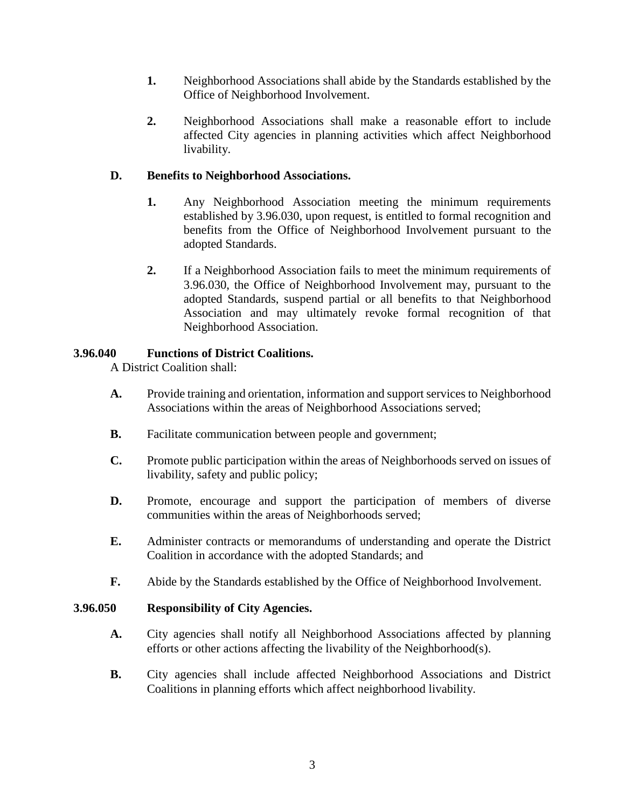- **1.** Neighborhood Associations shall abide by the Standards established by the Office of Neighborhood Involvement.
- **2.** Neighborhood Associations shall make a reasonable effort to include affected City agencies in planning activities which affect Neighborhood livability.

## **D. Benefits to Neighborhood Associations.**

- **1.** Any Neighborhood Association meeting the minimum requirements established by 3.96.030, upon request, is entitled to formal recognition and benefits from the Office of Neighborhood Involvement pursuant to the adopted Standards.
- **2.** If a Neighborhood Association fails to meet the minimum requirements of 3.96.030, the Office of Neighborhood Involvement may, pursuant to the adopted Standards, suspend partial or all benefits to that Neighborhood Association and may ultimately revoke formal recognition of that Neighborhood Association.

### **3.96.040 Functions of District Coalitions.**

A District Coalition shall:

- **A.** Provide training and orientation, information and support services to Neighborhood Associations within the areas of Neighborhood Associations served;
- **B.** Facilitate communication between people and government;
- **C.** Promote public participation within the areas of Neighborhoods served on issues of livability, safety and public policy;
- **D.** Promote, encourage and support the participation of members of diverse communities within the areas of Neighborhoods served;
- **E.** Administer contracts or memorandums of understanding and operate the District Coalition in accordance with the adopted Standards; and
- **F.** Abide by the Standards established by the Office of Neighborhood Involvement.

#### **3.96.050 Responsibility of City Agencies.**

- **A.** City agencies shall notify all Neighborhood Associations affected by planning efforts or other actions affecting the livability of the Neighborhood(s).
- **B.** City agencies shall include affected Neighborhood Associations and District Coalitions in planning efforts which affect neighborhood livability.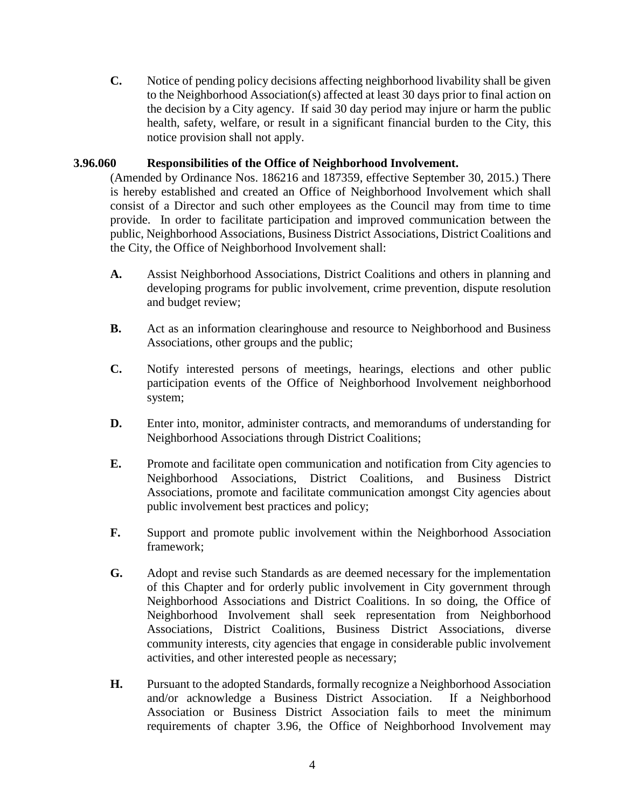**C.** Notice of pending policy decisions affecting neighborhood livability shall be given to the Neighborhood Association(s) affected at least 30 days prior to final action on the decision by a City agency. If said 30 day period may injure or harm the public health, safety, welfare, or result in a significant financial burden to the City, this notice provision shall not apply.

#### **3.96.060 Responsibilities of the Office of Neighborhood Involvement.**

(Amended by Ordinance Nos. 186216 and 187359, effective September 30, 2015.) There is hereby established and created an Office of Neighborhood Involvement which shall consist of a Director and such other employees as the Council may from time to time provide. In order to facilitate participation and improved communication between the public, Neighborhood Associations, Business District Associations, District Coalitions and the City, the Office of Neighborhood Involvement shall:

- **A.** Assist Neighborhood Associations, District Coalitions and others in planning and developing programs for public involvement, crime prevention, dispute resolution and budget review;
- **B.** Act as an information clearinghouse and resource to Neighborhood and Business Associations, other groups and the public;
- **C.** Notify interested persons of meetings, hearings, elections and other public participation events of the Office of Neighborhood Involvement neighborhood system;
- **D.** Enter into, monitor, administer contracts, and memorandums of understanding for Neighborhood Associations through District Coalitions;
- **E.** Promote and facilitate open communication and notification from City agencies to Neighborhood Associations, District Coalitions, and Business District Associations, promote and facilitate communication amongst City agencies about public involvement best practices and policy;
- **F.** Support and promote public involvement within the Neighborhood Association framework;
- **G.** Adopt and revise such Standards as are deemed necessary for the implementation of this Chapter and for orderly public involvement in City government through Neighborhood Associations and District Coalitions. In so doing, the Office of Neighborhood Involvement shall seek representation from Neighborhood Associations, District Coalitions, Business District Associations, diverse community interests, city agencies that engage in considerable public involvement activities, and other interested people as necessary;
- **H.** Pursuant to the adopted Standards, formally recognize a Neighborhood Association and/or acknowledge a Business District Association. If a Neighborhood Association or Business District Association fails to meet the minimum requirements of chapter 3.96, the Office of Neighborhood Involvement may